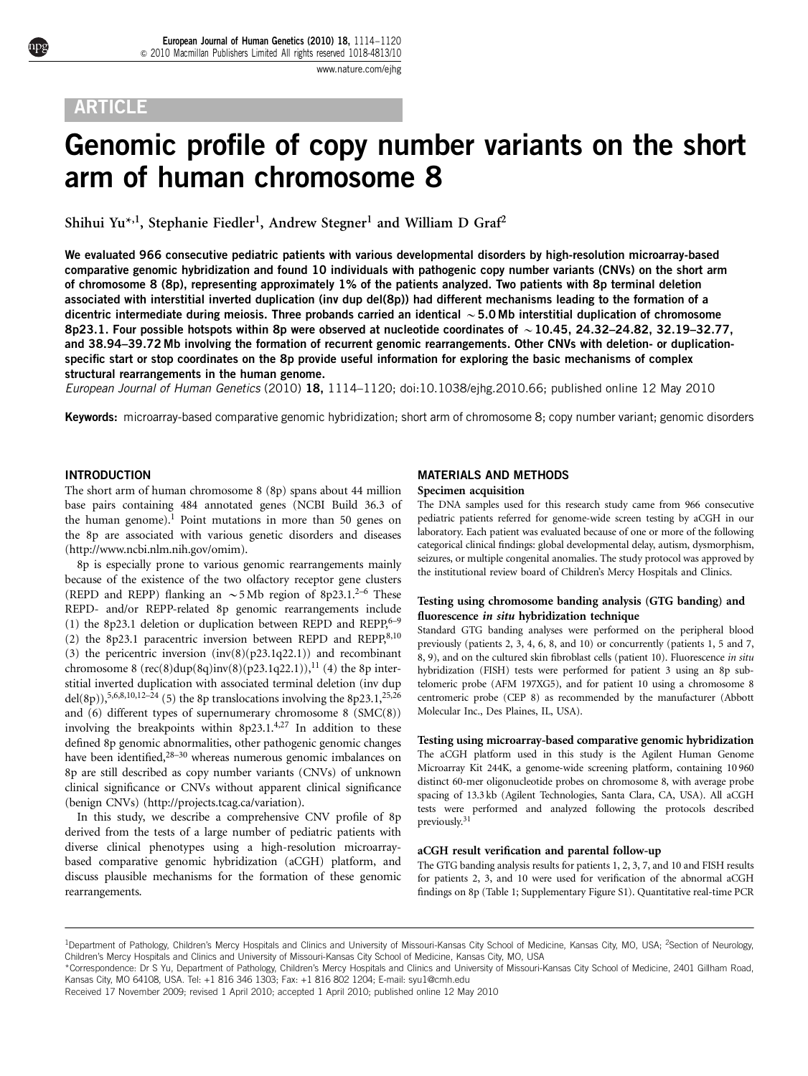# ARTICLE

# Genomic profile of copy number variants on the short arm of human chromosome 8

Shihui Yu\*,<sup>1</sup>, Stephanie Fiedler<sup>1</sup>, Andrew Stegner<sup>1</sup> and William D Graf<sup>2</sup>

We evaluated 966 consecutive pediatric patients with various developmental disorders by high-resolution microarray-based comparative genomic hybridization and found 10 individuals with pathogenic copy number variants (CNVs) on the short arm of chromosome 8 (8p), representing approximately 1% of the patients analyzed. Two patients with 8p terminal deletion associated with interstitial inverted duplication (inv dup del(8p)) had different mechanisms leading to the formation of a dicentric intermediate during meiosis. Three probands carried an identical  $\sim$  5.0 Mb interstitial duplication of chromosome 8p23.1. Four possible hotspots within 8p were observed at nucleotide coordinates of  $\sim$  10.45, 24.32–24.82, 32.19–32.77, and 38.94–39.72 Mb involving the formation of recurrent genomic rearrangements. Other CNVs with deletion- or duplicationspecific start or stop coordinates on the 8p provide useful information for exploring the basic mechanisms of complex structural rearrangements in the human genome.

European Journal of Human Genetics (2010) 18, 1114–1120; doi[:10.1038/ejhg.2010.66;](http://dx.doi.org/10.1038/ejhg.2010.66) published online 12 May 2010

Keywords: microarray-based comparative genomic hybridization; short arm of chromosome 8; copy number variant; genomic disorders

# INTRODUCTION

The short arm of human chromosome 8 (8p) spans about 44 million base pairs containing 484 annotated genes (NCBI Build 36.3 of the human genome).<sup>[1](#page-5-0)</sup> Point mutations in more than 50 genes on the 8p are associated with various genetic disorders and diseases [\(http://www.ncbi.nlm.nih.gov/omim](http://www.ncbi.nlm.nih.gov/omim)).

8p is especially prone to various genomic rearrangements mainly because of the existence of the two olfactory receptor gene clusters (REPD and REPP) flanking an  $\sim$  5 Mb region of 8p23.1.<sup>[2–6](#page-5-0)</sup> These REPD- and/or REPP-related 8p genomic rearrangements include (1) the 8p23.1 deletion or duplication between REPD and REPP, $6-9$ (2) the 8p23.1 paracentric inversion between REPD and REPP, $8,10$ (3) the pericentric inversion  $(inv(8)(p23.1q22.1))$  and recombinant chromosome 8 (rec(8)dup(8q)inv(8)(p23.1q22.1)),<sup>11</sup> (4) the 8p interstitial inverted duplication with associated terminal deletion (inv dup del(8p)),<sup>5,6,8,10,12–24</sup> (5) the 8p translocations involving the 8p23.1,<sup>[25,26](#page-6-0)</sup> and (6) different types of supernumerary chromosome 8 (SMC(8)) involving the breakpoints within  $8p23.1^{4,27}$  $8p23.1^{4,27}$  $8p23.1^{4,27}$  In addition to these defined 8p genomic abnormalities, other pathogenic genomic changes have been identified,<sup>28–30</sup> whereas numerous genomic imbalances on 8p are still described as copy number variants (CNVs) of unknown clinical significance or CNVs without apparent clinical significance (benign CNVs) (<http://projects.tcag.ca/variation>).

In this study, we describe a comprehensive CNV profile of 8p derived from the tests of a large number of pediatric patients with diverse clinical phenotypes using a high-resolution microarraybased comparative genomic hybridization (aCGH) platform, and discuss plausible mechanisms for the formation of these genomic rearrangements.

# MATERIALS AND METHODS

#### Specimen acquisition

The DNA samples used for this research study came from 966 consecutive pediatric patients referred for genome-wide screen testing by aCGH in our laboratory. Each patient was evaluated because of one or more of the following categorical clinical findings: global developmental delay, autism, dysmorphism, seizures, or multiple congenital anomalies. The study protocol was approved by the institutional review board of Children's Mercy Hospitals and Clinics.

#### Testing using chromosome banding analysis (GTG banding) and fluorescence in situ hybridization technique

Standard GTG banding analyses were performed on the peripheral blood previously (patients 2, 3, 4, 6, 8, and 10) or concurrently (patients 1, 5 and 7, 8, 9), and on the cultured skin fibroblast cells (patient 10). Fluorescence in situ hybridization (FISH) tests were performed for patient 3 using an 8p subtelomeric probe (AFM 197XG5), and for patient 10 using a chromosome 8 centromeric probe (CEP 8) as recommended by the manufacturer (Abbott Molecular Inc., Des Plaines, IL, USA).

Testing using microarray-based comparative genomic hybridization The aCGH platform used in this study is the Agilent Human Genome Microarray Kit 244K, a genome-wide screening platform, containing 10 960 distinct 60-mer oligonucleotide probes on chromosome 8, with average probe spacing of 13.3 kb (Agilent Technologies, Santa Clara, CA, USA). All aCGH tests were performed and analyzed following the protocols described previously.[31](#page-6-0)

#### aCGH result verification and parental follow-up

The GTG banding analysis results for patients 1, 2, 3, 7, and 10 and FISH results for patients 2, 3, and 10 were used for verification of the abnormal aCGH findings on 8p [\(Table 1;](#page-1-0) Supplementary Figure S1). Quantitative real-time PCR

<sup>&</sup>lt;sup>1</sup>Department of Pathology, Children's Mercy Hospitals and Clinics and University of Missouri-Kansas City School of Medicine, Kansas City, MO, USA; <sup>2</sup>Section of Neurology, Children's Mercy Hospitals and Clinics and University of Missouri-Kansas City School of Medicine, Kansas City, MO, USA

<sup>\*</sup>Correspondence: Dr S Yu, Department of Pathology, Children's Mercy Hospitals and Clinics and University of Missouri-Kansas City School of Medicine, 2401 Gillham Road, Kansas City, MO 64108, USA. Tel: +1 816 346 1303; Fax: +1 816 802 1204; E-mail: [syu1@cmh.edu](mailto:syu1@cmh.edu)

Received 17 November 2009; revised 1 April 2010; accepted 1 April 2010; published online 12 May 2010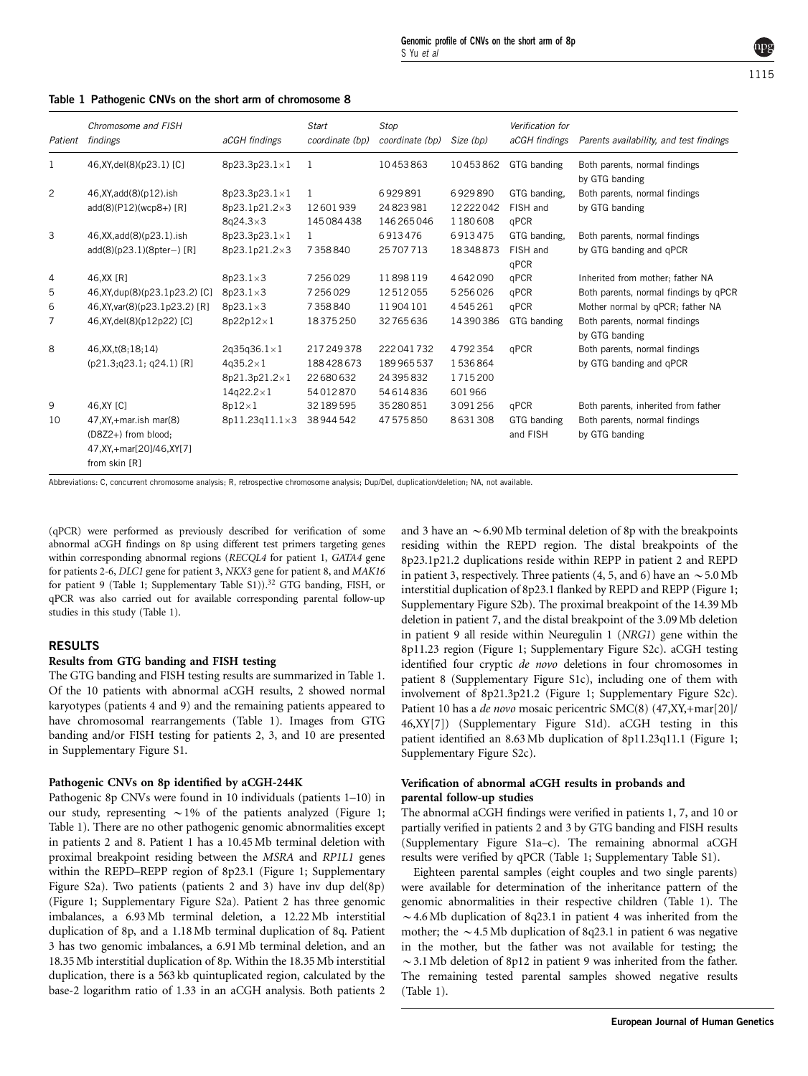|         | Chromosome and FISH                                                                              |                                                   | <b>Start</b>               | Stop                               |                                | Verification for                 |                                                          |  |
|---------|--------------------------------------------------------------------------------------------------|---------------------------------------------------|----------------------------|------------------------------------|--------------------------------|----------------------------------|----------------------------------------------------------|--|
| Patient | findings                                                                                         | aCGH findings                                     | coordinate (bp)            | coordinate (bp)                    | Size (bp)                      | aCGH findings                    | Parents availability, and test findings                  |  |
| 1       | 46, XY, del(8)(p23.1) [C]                                                                        | 8p23.3p23.1×1                                     | 1                          | 10453863                           | 10453862                       | GTG banding                      | Both parents, normal findings<br>by GTG banding          |  |
| 2       | 46, XY, add(8)(p12). ish<br>add(8)(P12)(wcp8+) [R]                                               | 8p23.3p23.1×1<br>8p23.1p21.2×3<br>$8q24.3\times3$ | 1<br>12601939<br>145084438 | 6929891<br>24823981<br>146 265 046 | 6929890<br>12222042<br>1180608 | GTG banding,<br>FISH and<br>qPCR | Both parents, normal findings<br>by GTG banding          |  |
| 3       | 46, XX, add(8)(p23.1). ish<br>$add(8)(p23.1)(8pter-) [R]$                                        | 8p23.3p23.1×1<br>8p23.1p21.2×3                    | 1<br>7358840               | 6913476<br>25707713                | 6913475<br>18348873            | GTG banding,<br>FISH and<br>qPCR | Both parents, normal findings<br>by GTG banding and qPCR |  |
| 4       | 46, XX [R]                                                                                       | $8p23.1\times3$                                   | 7256029                    | 11898119                           | 4642090                        | qPCR                             | Inherited from mother; father NA                         |  |
| 5       | 46, XY, dup(8)(p23.1p23.2) [C]                                                                   | $8p23.1\times3$                                   | 7256029                    | 12512055                           | 5256026                        | qPCR                             | Both parents, normal findings by qPCR                    |  |
| 6       | 46, XY, var(8)(p23.1p23.2) [R]                                                                   | $8p23.1\times3$                                   | 7358840                    | 11904101                           | 4545261                        | qPCR                             | Mother normal by qPCR; father NA                         |  |
| 7       | 46, XY, del(8)(p12p22) [C]                                                                       | 8p22p12×1                                         | 18375250                   | 32765636                           | 14390386                       | GTG banding                      | Both parents, normal findings<br>by GTG banding          |  |
| 8       | 46, XX, t(8; 18; 14)                                                                             | $2q35q36.1\times1$                                | 217 249 378                | 222041732                          | 4792354                        | qPCR                             | Both parents, normal findings                            |  |
|         | (p21.3;q23.1; q24.1) [R]                                                                         | $4q35.2\times1$                                   | 188428673                  | 189965537                          | 1536864                        |                                  | by GTG banding and gPCR                                  |  |
|         |                                                                                                  | 8p21.3p21.2×1                                     | 22680632                   | 24395832                           | 1715200                        |                                  |                                                          |  |
|         |                                                                                                  | $14q22.2\times1$                                  | 54012870                   | 54614836                           | 601966                         |                                  |                                                          |  |
| 9       | 46, XY [C]                                                                                       | $8p12\times1$                                     | 32 189 595                 | 35280851                           | 3091256                        | qPCR                             | Both parents, inherited from father                      |  |
| 10      | 47, XY, + mar. ish mar(8)<br>(D8Z2+) from blood;<br>47, XY, + mar[20]/46, XY[7]<br>from skin [R] | 8p11.23q11.1×3                                    | 38944542                   | 47575850                           | 8631308                        | GTG banding<br>and FISH          | Both parents, normal findings<br>by GTG banding          |  |

#### <span id="page-1-0"></span>Table 1 Pathogenic CNVs on the short arm of chromosome 8

Abbreviations: C, concurrent chromosome analysis; R, retrospective chromosome analysis; Dup/Del, duplication/deletion; NA, not available.

(qPCR) were performed as previously described for verification of some abnormal aCGH findings on 8p using different test primers targeting genes within corresponding abnormal regions (RECQL4 for patient 1, GATA4 gene for patients 2-6, DLC1 gene for patient 3, NKX3 gene for patient 8, and MAK16 for patient 9 (Table 1; Supplementary Table S1)).<sup>32</sup> GTG banding, FISH, or qPCR was also carried out for available corresponding parental follow-up studies in this study (Table 1).

### RESULTS

#### Results from GTG banding and FISH testing

The GTG banding and FISH testing results are summarized in Table 1. Of the 10 patients with abnormal aCGH results, 2 showed normal karyotypes (patients 4 and 9) and the remaining patients appeared to have chromosomal rearrangements (Table 1). Images from GTG banding and/or FISH testing for patients 2, 3, and 10 are presented in Supplementary Figure S1.

#### Pathogenic CNVs on 8p identified by aCGH-244K

Pathogenic 8p CNVs were found in 10 individuals (patients 1–10) in our study, representing  $\sim$  1% of the patients analyzed ([Figure 1;](#page-2-0) Table 1). There are no other pathogenic genomic abnormalities except in patients 2 and 8. Patient 1 has a 10.45 Mb terminal deletion with proximal breakpoint residing between the MSRA and RP1L1 genes within the REPD–REPP region of 8p23.1 [\(Figure 1;](#page-2-0) Supplementary Figure S2a). Two patients (patients 2 and 3) have inv dup del(8p) [\(Figure 1](#page-2-0); Supplementary Figure S2a). Patient 2 has three genomic imbalances, a 6.93Mb terminal deletion, a 12.22 Mb interstitial duplication of 8p, and a 1.18Mb terminal duplication of 8q. Patient 3 has two genomic imbalances, a 6.91Mb terminal deletion, and an 18.35 Mb interstitial duplication of 8p. Within the 18.35 Mb interstitial duplication, there is a 563 kb quintuplicated region, calculated by the base-2 logarithm ratio of 1.33 in an aCGH analysis. Both patients 2 and 3 have an  $\sim$  6.90 Mb terminal deletion of 8p with the breakpoints residing within the REPD region. The distal breakpoints of the 8p23.1p21.2 duplications reside within REPP in patient 2 and REPD in patient 3, respectively. Three patients (4, 5, and 6) have an  $\sim$  5.0 Mb interstitial duplication of 8p23.1 flanked by REPD and REPP [\(Figure 1;](#page-2-0) Supplementary Figure S2b). The proximal breakpoint of the 14.39 Mb deletion in patient 7, and the distal breakpoint of the 3.09Mb deletion in patient 9 all reside within Neuregulin 1 (NRG1) gene within the 8p11.23 region [\(Figure 1](#page-2-0); Supplementary Figure S2c). aCGH testing identified four cryptic de novo deletions in four chromosomes in patient 8 (Supplementary Figure S1c), including one of them with involvement of 8p21.3p21.2 [\(Figure 1](#page-2-0); Supplementary Figure S2c). Patient 10 has a de novo mosaic pericentric SMC(8) (47,XY,+mar[20]/ 46,XY[7]) (Supplementary Figure S1d). aCGH testing in this patient identified an 8.63Mb duplication of 8p11.23q11.1 [\(Figure 1;](#page-2-0) Supplementary Figure S2c).

# Verification of abnormal aCGH results in probands and parental follow-up studies

The abnormal aCGH findings were verified in patients 1, 7, and 10 or partially verified in patients 2 and 3 by GTG banding and FISH results (Supplementary Figure S1a–c). The remaining abnormal aCGH results were verified by qPCR (Table 1; Supplementary Table S1).

Eighteen parental samples (eight couples and two single parents) were available for determination of the inheritance pattern of the genomic abnormalities in their respective children (Table 1). The  $\sim$  4.6 Mb duplication of 8q23.1 in patient 4 was inherited from the mother; the  $\sim$  4.5 Mb duplication of 8q23.1 in patient 6 was negative in the mother, but the father was not available for testing; the  $\sim$  3.1 Mb deletion of 8p12 in patient 9 was inherited from the father. The remaining tested parental samples showed negative results (Table 1).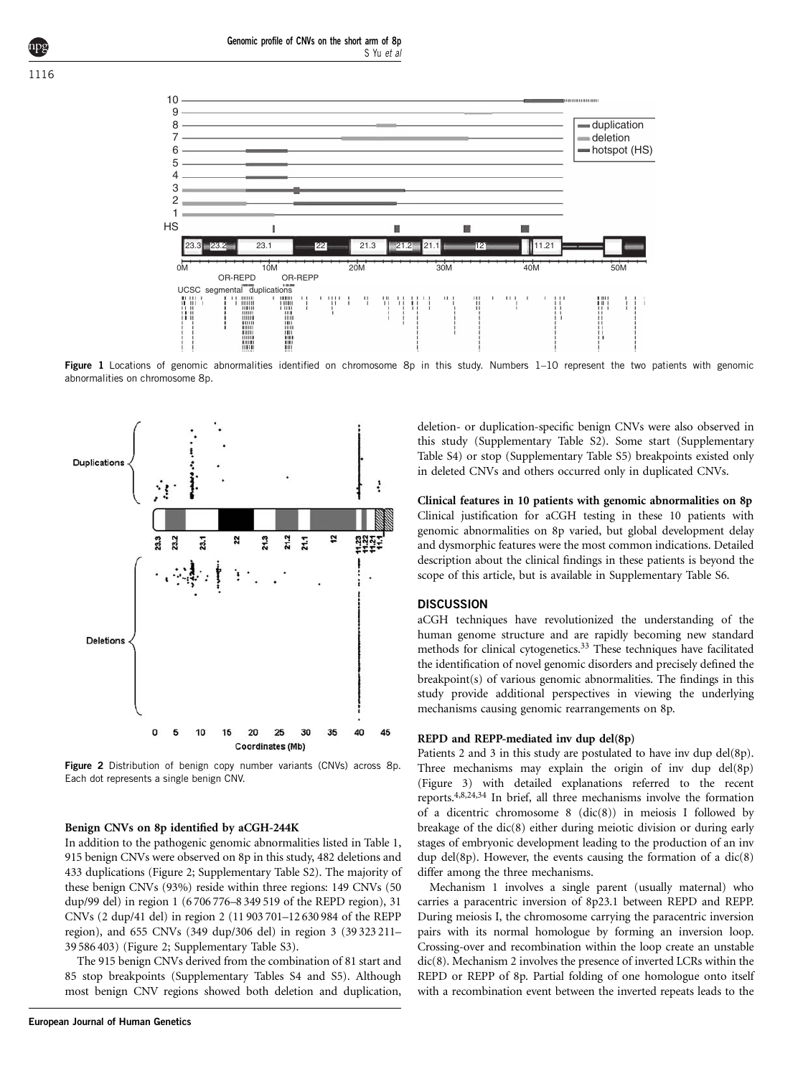<span id="page-2-0"></span>

Figure 1 Locations of genomic abnormalities identified on chromosome 8p in this study. Numbers 1–10 represent the two patients with genomic abnormalities on chromosome 8p.



Figure 2 Distribution of benign copy number variants (CNVs) across 8p. Each dot represents a single benign CNV.

#### Benign CNVs on 8p identified by aCGH-244K

In addition to the pathogenic genomic abnormalities listed in [Table 1,](#page-1-0) 915 benign CNVs were observed on 8p in this study, 482 deletions and 433 duplications (Figure 2; Supplementary Table S2). The majority of these benign CNVs (93%) reside within three regions: 149 CNVs (50 dup/99 del) in region 1 (6 706 776–8 349 519 of the REPD region), 31 CNVs (2 dup/41 del) in region 2 (11 903 701–12 630 984 of the REPP region), and 655 CNVs (349 dup/306 del) in region 3 (39 323 211– 39 586 403) (Figure 2; Supplementary Table S3).

The 915 benign CNVs derived from the combination of 81 start and 85 stop breakpoints (Supplementary Tables S4 and S5). Although most benign CNV regions showed both deletion and duplication,

deletion- or duplication-specific benign CNVs were also observed in this study (Supplementary Table S2). Some start (Supplementary Table S4) or stop (Supplementary Table S5) breakpoints existed only in deleted CNVs and others occurred only in duplicated CNVs.

Clinical features in 10 patients with genomic abnormalities on 8p Clinical justification for aCGH testing in these 10 patients with genomic abnormalities on 8p varied, but global development delay and dysmorphic features were the most common indications. Detailed description about the clinical findings in these patients is beyond the scope of this article, but is available in Supplementary Table S6.

# **DISCUSSION**

aCGH techniques have revolutionized the understanding of the human genome structure and are rapidly becoming new standard methods for clinical cytogenetics.<sup>33</sup> These techniques have facilitated the identification of novel genomic disorders and precisely defined the breakpoint(s) of various genomic abnormalities. The findings in this study provide additional perspectives in viewing the underlying mechanisms causing genomic rearrangements on 8p.

## REPD and REPP-mediated inv dup del(8p)

Patients 2 and 3 in this study are postulated to have inv dup del(8p). Three mechanisms may explain the origin of inv dup del(8p) [\(Figure 3](#page-3-0)) with detailed explanations referred to the recent reports[.4,8,24,34](#page-5-0) In brief, all three mechanisms involve the formation of a dicentric chromosome 8 (dic(8)) in meiosis I followed by breakage of the dic(8) either during meiotic division or during early stages of embryonic development leading to the production of an inv dup del(8p). However, the events causing the formation of a  $\text{dic}(8)$ differ among the three mechanisms.

Mechanism 1 involves a single parent (usually maternal) who carries a paracentric inversion of 8p23.1 between REPD and REPP. During meiosis I, the chromosome carrying the paracentric inversion pairs with its normal homologue by forming an inversion loop. Crossing-over and recombination within the loop create an unstable dic(8). Mechanism 2 involves the presence of inverted LCRs within the REPD or REPP of 8p. Partial folding of one homologue onto itself with a recombination event between the inverted repeats leads to the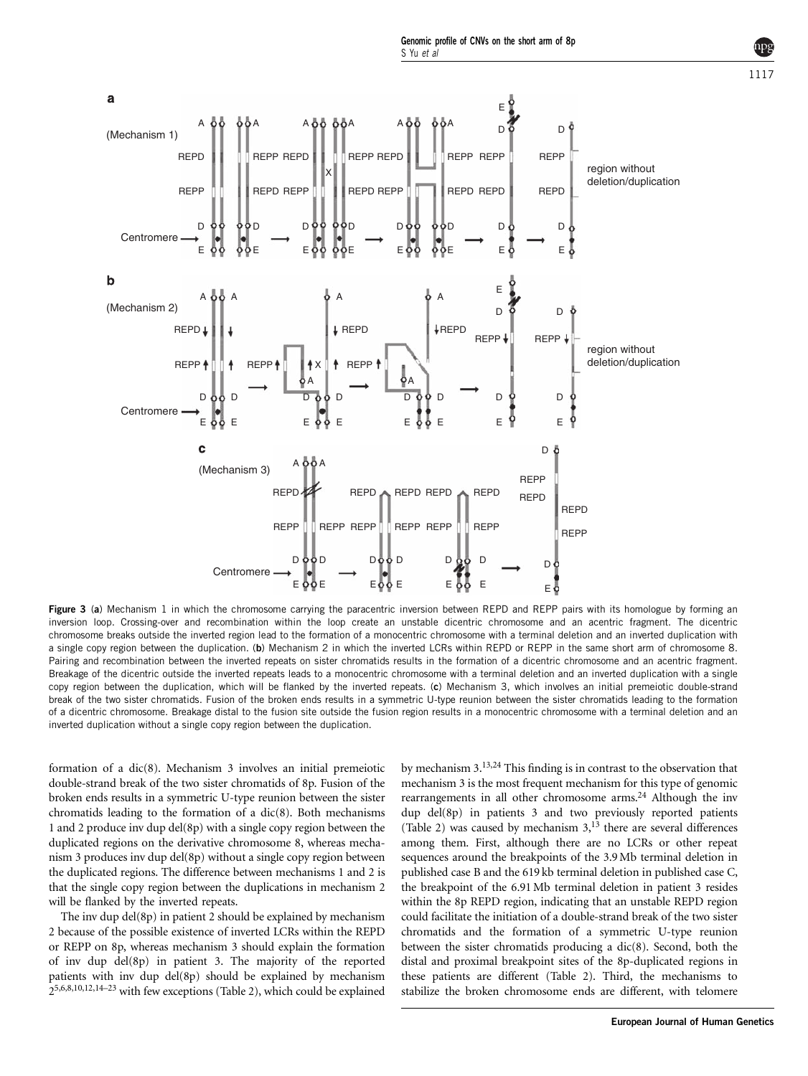<span id="page-3-0"></span>

Figure 3 (a) Mechanism 1 in which the chromosome carrying the paracentric inversion between REPD and REPP pairs with its homologue by forming an inversion loop. Crossing-over and recombination within the loop create an unstable dicentric chromosome and an acentric fragment. The dicentric chromosome breaks outside the inverted region lead to the formation of a monocentric chromosome with a terminal deletion and an inverted duplication with a single copy region between the duplication. (b) Mechanism 2 in which the inverted LCRs within REPD or REPP in the same short arm of chromosome 8. Pairing and recombination between the inverted repeats on sister chromatids results in the formation of a dicentric chromosome and an acentric fragment. Breakage of the dicentric outside the inverted repeats leads to a monocentric chromosome with a terminal deletion and an inverted duplication with a single copy region between the duplication, which will be flanked by the inverted repeats. (c) Mechanism 3, which involves an initial premeiotic double-strand break of the two sister chromatids. Fusion of the broken ends results in a symmetric U-type reunion between the sister chromatids leading to the formation of a dicentric chromosome. Breakage distal to the fusion site outside the fusion region results in a monocentric chromosome with a terminal deletion and an inverted duplication without a single copy region between the duplication.

formation of a dic(8). Mechanism 3 involves an initial premeiotic double-strand break of the two sister chromatids of 8p. Fusion of the broken ends results in a symmetric U-type reunion between the sister chromatids leading to the formation of a dic(8). Both mechanisms 1 and 2 produce inv dup del(8p) with a single copy region between the duplicated regions on the derivative chromosome 8, whereas mechanism 3 produces inv dup del(8p) without a single copy region between the duplicated regions. The difference between mechanisms 1 and 2 is that the single copy region between the duplications in mechanism 2 will be flanked by the inverted repeats.

The inv dup del(8p) in patient 2 should be explained by mechanism 2 because of the possible existence of inverted LCRs within the REPD or REPP on 8p, whereas mechanism 3 should explain the formation of inv dup del(8p) in patient 3. The majority of the reported patients with inv dup del(8p) should be explained by mechanism  $2^{5,6,8,10,12,14-23}$  with few exceptions [\(Table 2](#page-4-0)), which could be explained by mechanism 3[.13,24](#page-5-0) This finding is in contrast to the observation that mechanism 3 is the most frequent mechanism for this type of genomic rearrangements in all other chromosome arms.<sup>24</sup> Although the inv dup del(8p) in patients 3 and two previously reported patients [\(Table 2](#page-4-0)) was caused by mechanism  $3<sup>13</sup>$  $3<sup>13</sup>$  $3<sup>13</sup>$  there are several differences among them. First, although there are no LCRs or other repeat sequences around the breakpoints of the 3.9 Mb terminal deletion in published case B and the 619 kb terminal deletion in published case C, the breakpoint of the 6.91Mb terminal deletion in patient 3 resides within the 8p REPD region, indicating that an unstable REPD region could facilitate the initiation of a double-strand break of the two sister chromatids and the formation of a symmetric U-type reunion between the sister chromatids producing a dic(8). Second, both the distal and proximal breakpoint sites of the 8p-duplicated regions in these patients are different ([Table 2\)](#page-4-0). Third, the mechanisms to stabilize the broken chromosome ends are different, with telomere

1117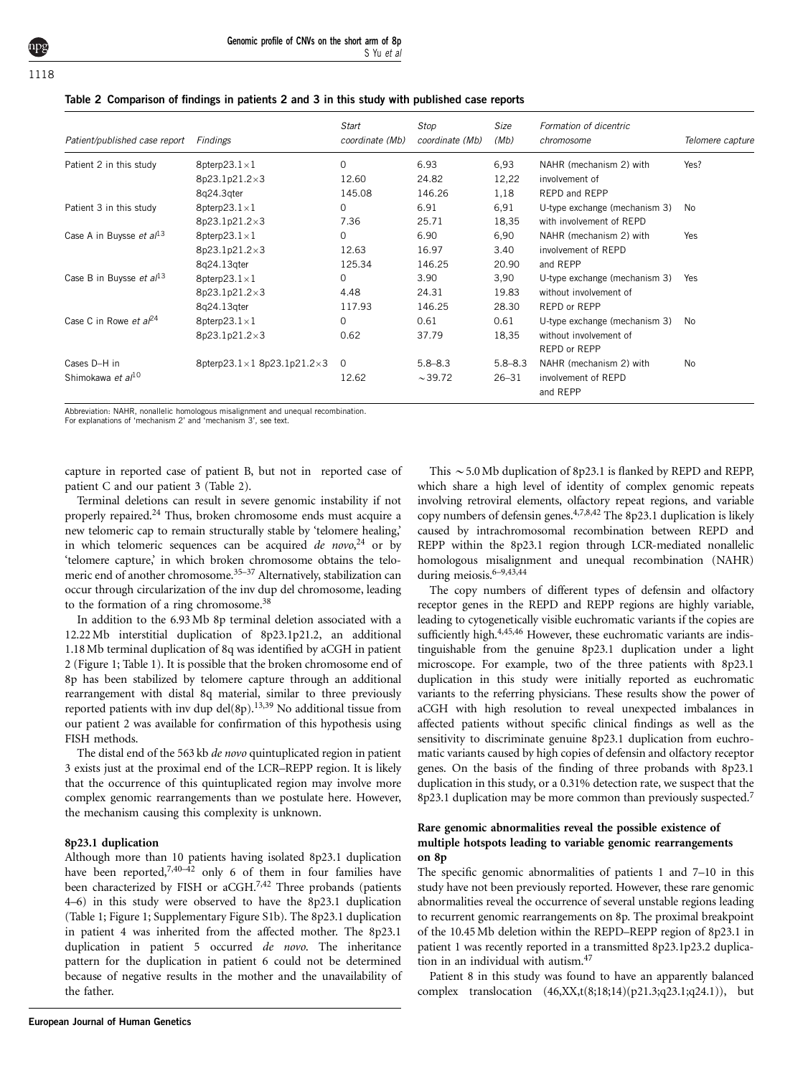<span id="page-4-0"></span>

| Patient/published case report | Findings                                     | Start<br>coordinate (Mb) | Stop<br>coordinate (Mb) | Size<br>(Mb) | Formation of dicentric<br>chromosome | Telomere capture |  |
|-------------------------------|----------------------------------------------|--------------------------|-------------------------|--------------|--------------------------------------|------------------|--|
| Patient 2 in this study       | 8pterp23.1 $\times$ 1                        | $\Omega$                 | 6.93                    | 6,93         | NAHR (mechanism 2) with              | Yes?             |  |
|                               | 8p23.1p21.2×3                                | 12.60                    | 24.82                   | 12,22        | involvement of                       |                  |  |
|                               | 8q24.3qter                                   | 145.08                   | 146.26                  | 1,18         | REPD and REPP                        |                  |  |
| Patient 3 in this study       | 8pterp23.1 $\times$ 1                        | $\Omega$                 | 6.91                    | 6,91         | U-type exchange (mechanism 3)        | No               |  |
|                               | 8p23.1p21.2×3                                | 7.36                     | 25.71                   | 18,35        | with involvement of REPD             |                  |  |
| Case A in Buysse et $a/13$    | 8pterp23.1 $\times$ 1                        | 0                        | 6.90                    | 6,90         | NAHR (mechanism 2) with              | Yes              |  |
|                               | 8p23.1p21.2×3                                | 12.63                    | 16.97                   | 3.40         | involvement of REPD                  |                  |  |
|                               | 8q24.13qter                                  | 125.34                   | 146.25                  | 20.90        | and REPP                             |                  |  |
| Case B in Buysse et $al^{13}$ | 8pterp23.1 $\times$ 1                        | $\Omega$                 | 3.90                    | 3,90         | U-type exchange (mechanism 3)        | Yes              |  |
|                               | 8p23.1p21.2×3                                | 4.48                     | 24.31                   | 19.83        | without involvement of               |                  |  |
|                               | 8q24.13qter                                  | 117.93                   | 146.25                  | 28.30        | REPD or REPP                         |                  |  |
| Case C in Rowe et $a^{24}$    | 8pterp23.1 $\times$ 1                        | 0                        | 0.61                    | 0.61         | U-type exchange (mechanism 3)        | No               |  |
|                               | 8p23.1p21.2×3                                | 0.62                     | 37.79                   | 18,35        | without involvement of               |                  |  |
|                               |                                              |                          |                         |              | REPD or REPP                         |                  |  |
| Cases D-H in                  | 8pterp23.1 $\times$ 1 8p23.1p21.2 $\times$ 3 | $\Omega$                 | $5.8 - 8.3$             | $5.8 - 8.3$  | NAHR (mechanism 2) with              | N <sub>0</sub>   |  |
| Shimokawa et al <sup>10</sup> |                                              | 12.62                    | $\sim$ 39.72            | $26 - 31$    | involvement of REPD<br>and REPP      |                  |  |

Abbreviation: NAHR, nonallelic homologous misalignment and unequal recombination.

For explanations of 'mechanism 2' and 'mechanism 3', see text.

capture in reported case of patient B, but not in reported case of patient C and our patient 3 (Table 2).

Terminal deletions can result in severe genomic instability if not properly repaired[.24](#page-6-0) Thus, broken chromosome ends must acquire a new telomeric cap to remain structurally stable by 'telomere healing,' in which telomeric sequences can be acquired de novo,<sup>[24](#page-6-0)</sup> or by 'telomere capture,' in which broken chromosome obtains the telomeric end of another chromosome.<sup>35-37</sup> Alternatively, stabilization can occur through circularization of the inv dup del chromosome, leading to the formation of a ring chromosome.<sup>38</sup>

In addition to the 6.93Mb 8p terminal deletion associated with a 12.22 Mb interstitial duplication of 8p23.1p21.2, an additional 1.18Mb terminal duplication of 8q was identified by aCGH in patient 2 [\(Figure 1](#page-2-0); [Table 1](#page-1-0)). It is possible that the broken chromosome end of 8p has been stabilized by telomere capture through an additional rearrangement with distal 8q material, similar to three previously reported patients with inv dup del(8p).<sup>13,39</sup> No additional tissue from our patient 2 was available for confirmation of this hypothesis using FISH methods.

The distal end of the 563 kb *de novo* quintuplicated region in patient 3 exists just at the proximal end of the LCR–REPP region. It is likely that the occurrence of this quintuplicated region may involve more complex genomic rearrangements than we postulate here. However, the mechanism causing this complexity is unknown.

#### 8p23.1 duplication

Although more than 10 patients having isolated 8p23.1 duplication have been reported,<sup>7,40–42</sup> only 6 of them in four families have been characterized by FISH or aCGH.<sup>[7,42](#page-5-0)</sup> Three probands (patients 4–6) in this study were observed to have the 8p23.1 duplication [\(Table 1](#page-1-0); [Figure 1](#page-2-0); Supplementary Figure S1b). The 8p23.1 duplication in patient 4 was inherited from the affected mother. The 8p23.1 duplication in patient 5 occurred de novo. The inheritance pattern for the duplication in patient 6 could not be determined because of negative results in the mother and the unavailability of the father.

This  $\sim$  5.0 Mb duplication of 8p23.1 is flanked by REPD and REPP, which share a high level of identity of complex genomic repeats involving retroviral elements, olfactory repeat regions, and variable copy numbers of defensin genes.[4,7,8,42](#page-5-0) The 8p23.1 duplication is likely caused by intrachromosomal recombination between REPD and REPP within the 8p23.1 region through LCR-mediated nonallelic homologous misalignment and unequal recombination (NAHR) during meiosis[.6–9,43,44](#page-5-0)

The copy numbers of different types of defensin and olfactory receptor genes in the REPD and REPP regions are highly variable, leading to cytogenetically visible euchromatic variants if the copies are sufficiently high.<sup>[4,45,46](#page-5-0)</sup> However, these euchromatic variants are indistinguishable from the genuine 8p23.1 duplication under a light microscope. For example, two of the three patients with 8p23.1 duplication in this study were initially reported as euchromatic variants to the referring physicians. These results show the power of aCGH with high resolution to reveal unexpected imbalances in affected patients without specific clinical findings as well as the sensitivity to discriminate genuine 8p23.1 duplication from euchromatic variants caused by high copies of defensin and olfactory receptor genes. On the basis of the finding of three probands with 8p23.1 duplication in this study, or a 0.31% detection rate, we suspect that the 8p23.1 duplication may be more common than previously suspected.<sup>[7](#page-5-0)</sup>

## Rare genomic abnormalities reveal the possible existence of multiple hotspots leading to variable genomic rearrangements on 8p

The specific genomic abnormalities of patients 1 and 7–10 in this study have not been previously reported. However, these rare genomic abnormalities reveal the occurrence of several unstable regions leading to recurrent genomic rearrangements on 8p. The proximal breakpoint of the 10.45 Mb deletion within the REPD–REPP region of 8p23.1 in patient 1 was recently reported in a transmitted 8p23.1p23.2 duplication in an individual with autism.[47](#page-6-0)

Patient 8 in this study was found to have an apparently balanced complex translocation (46,XX,t(8;18;14)(p21.3;q23.1;q24.1)), but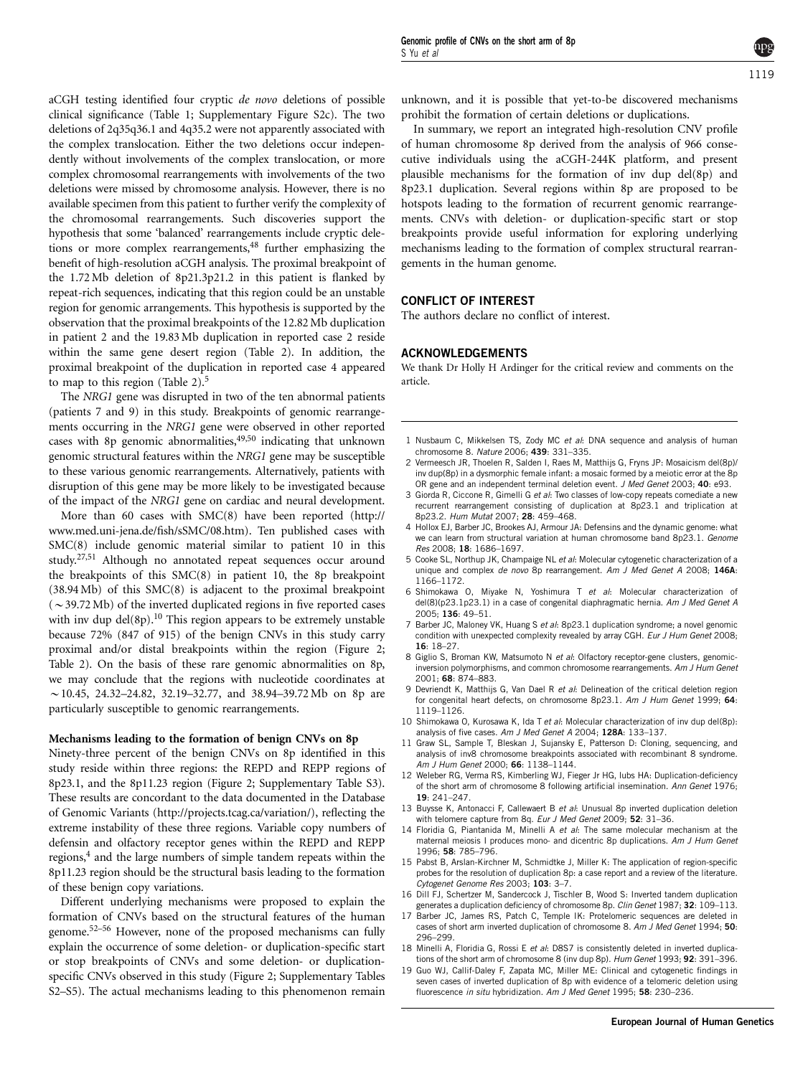<span id="page-5-0"></span>aCGH testing identified four cryptic de novo deletions of possible clinical significance [\(Table 1;](#page-1-0) Supplementary Figure S2c). The two deletions of 2q35q36.1 and 4q35.2 were not apparently associated with the complex translocation. Either the two deletions occur independently without involvements of the complex translocation, or more complex chromosomal rearrangements with involvements of the two deletions were missed by chromosome analysis. However, there is no available specimen from this patient to further verify the complexity of the chromosomal rearrangements. Such discoveries support the hypothesis that some 'balanced' rearrangements include cryptic deletions or more complex rearrangements,<sup>48</sup> further emphasizing the benefit of high-resolution aCGH analysis. The proximal breakpoint of the 1.72Mb deletion of 8p21.3p21.2 in this patient is flanked by repeat-rich sequences, indicating that this region could be an unstable region for genomic arrangements. This hypothesis is supported by the observation that the proximal breakpoints of the 12.82 Mb duplication in patient 2 and the 19.83 Mb duplication in reported case 2 reside within the same gene desert region [\(Table 2\)](#page-4-0). In addition, the proximal breakpoint of the duplication in reported case 4 appeared to map to this region ([Table 2\)](#page-4-0).5

The NRG1 gene was disrupted in two of the ten abnormal patients (patients 7 and 9) in this study. Breakpoints of genomic rearrangements occurring in the NRG1 gene were observed in other reported cases with 8p genomic abnormalities,  $49,50$  indicating that unknown genomic structural features within the NRG1 gene may be susceptible to these various genomic rearrangements. Alternatively, patients with disruption of this gene may be more likely to be investigated because of the impact of the NRG1 gene on cardiac and neural development.

More than 60 cases with SMC(8) have been reported [\(http://](http://www.med.uni-jena.de/fish/sSMC/08.htm) [www.med.uni-jena.de/fish/sSMC/08.htm](http://www.med.uni-jena.de/fish/sSMC/08.htm)). Ten published cases with SMC(8) include genomic material similar to patient 10 in this study.[27,51](#page-6-0) Although no annotated repeat sequences occur around the breakpoints of this SMC(8) in patient 10, the 8p breakpoint (38.94 Mb) of this SMC(8) is adjacent to the proximal breakpoint  $(-39.72 \text{ Mb})$  of the inverted duplicated regions in five reported cases with inv dup del $(8p)$ .<sup>10</sup> This region appears to be extremely unstable because 72% (847 of 915) of the benign CNVs in this study carry proximal and/or distal breakpoints within the region ([Figure 2;](#page-2-0) [Table 2\)](#page-4-0). On the basis of these rare genomic abnormalities on 8p, we may conclude that the regions with nucleotide coordinates at  $\sim$  10.45, 24.32–24.82, 32.19–32.77, and 38.94–39.72 Mb on 8p are particularly susceptible to genomic rearrangements.

#### Mechanisms leading to the formation of benign CNVs on 8p

Ninety-three percent of the benign CNVs on 8p identified in this study reside within three regions: the REPD and REPP regions of 8p23.1, and the 8p11.23 region [\(Figure 2;](#page-2-0) Supplementary Table S3). These results are concordant to the data documented in the Database of Genomic Variants [\(http://projects.tcag.ca/variation/](http://projects.tcag.ca/variation/)), reflecting the extreme instability of these three regions. Variable copy numbers of defensin and olfactory receptor genes within the REPD and REPP regions,<sup>4</sup> and the large numbers of simple tandem repeats within the 8p11.23 region should be the structural basis leading to the formation of these benign copy variations.

Different underlying mechanisms were proposed to explain the formation of CNVs based on the structural features of the human genome[.52–56](#page-6-0) However, none of the proposed mechanisms can fully explain the occurrence of some deletion- or duplication-specific start or stop breakpoints of CNVs and some deletion- or duplicationspecific CNVs observed in this study [\(Figure 2](#page-2-0); Supplementary Tables S2–S5). The actual mechanisms leading to this phenomenon remain unknown, and it is possible that yet-to-be discovered mechanisms prohibit the formation of certain deletions or duplications.

In summary, we report an integrated high-resolution CNV profile of human chromosome 8p derived from the analysis of 966 consecutive individuals using the aCGH-244K platform, and present plausible mechanisms for the formation of inv dup del(8p) and 8p23.1 duplication. Several regions within 8p are proposed to be hotspots leading to the formation of recurrent genomic rearrangements. CNVs with deletion- or duplication-specific start or stop breakpoints provide useful information for exploring underlying mechanisms leading to the formation of complex structural rearrangements in the human genome.

#### CONFLICT OF INTEREST

The authors declare no conflict of interest.

#### ACKNOWLEDGEMENTS

We thank Dr Holly H Ardinger for the critical review and comments on the article.

- 1 Nusbaum C, Mikkelsen TS, Zody MC et al: DNA sequence and analysis of human chromosome 8. Nature 2006; 439: 331–335.
- 2 Vermeesch JR, Thoelen R, Salden I, Raes M, Matthijs G, Fryns JP: Mosaicism del(8p)/ inv dup(8p) in a dysmorphic female infant: a mosaic formed by a meiotic error at the 8p OR gene and an independent terminal deletion event. J Med Genet 2003; 40: e93.
- 3 Giorda R, Ciccone R, Gimelli G et al: Two classes of low-copy repeats comediate a new recurrent rearrangement consisting of duplication at 8p23.1 and triplication at 8p23.2. Hum Mutat 2007; 28: 459–468.
- 4 Hollox EJ, Barber JC, Brookes AJ, Armour JA: Defensins and the dynamic genome: what we can learn from structural variation at human chromosome band 8p23.1. Genome Res 2008; 18: 1686–1697.
- 5 Cooke SL, Northup JK, Champaige NL et al: Molecular cytogenetic characterization of a unique and complex *de novo* 8p rearrangement. Am J Med Genet A 2008: 146A: 1166–1172.
- 6 Shimokawa O, Miyake N, Yoshimura T et al: Molecular characterization of del(8)(p23.1p23.1) in a case of congenital diaphragmatic hernia. Am J Med Genet A 2005; 136: 49–51.
- 7 Barber JC, Maloney VK, Huang S et al: 8p23.1 duplication syndrome; a novel genomic condition with unexpected complexity revealed by array CGH. Eur J Hum Genet 2008; 16: 18–27.
- 8 Giglio S, Broman KW, Matsumoto N et al: Olfactory receptor-gene clusters, genomicinversion polymorphisms, and common chromosome rearrangements, Am J Hum Genet 2001; 68: 874–883.
- 9 Devriendt K, Matthiis G, Van Dael R et al: Delineation of the critical deletion region for congenital heart defects, on chromosome 8p23.1. Am J Hum Genet 1999; 64: 1119–1126.
- 10 Shimokawa O. Kurosawa K, Ida T et al: Molecular characterization of inv dup del(8p): analysis of five cases. Am J Med Genet A 2004; 128A: 133-137.
- 11 Graw SL, Sample T, Bleskan J, Sujansky E, Patterson D: Cloning, sequencing, and analysis of inv8 chromosome breakpoints associated with recombinant 8 syndrome. Am J Hum Genet 2000; 66: 1138–1144.
- 12 Weleber RG, Verma RS, Kimberling WJ, Fieger Jr HG, lubs HA: Duplication-deficiency of the short arm of chromosome 8 following artificial insemination. Ann Genet 1976; 19: 241–247.
- 13 Buysse K, Antonacci F, Callewaert B et al: Unusual 8p inverted duplication deletion with telomere capture from 8q. Eur J Med Genet 2009; 52: 31-36.
- 14 Floridia G, Piantanida M, Minelli A et al: The same molecular mechanism at the maternal meiosis I produces mono- and dicentric 8p duplications. Am J Hum Genet 1996; 58: 785–796.
- 15 Pabst B, Arslan-Kirchner M, Schmidtke J, Miller K: The application of region-specific probes for the resolution of duplication 8p: a case report and a review of the literature. Cytogenet Genome Res 2003; 103: 3–7.
- 16 Dill FJ, Schertzer M, Sandercock J, Tischler B, Wood S: Inverted tandem duplication generates a duplication deficiency of chromosome 8p. Clin Genet 1987; 32: 109-113.
- 17 Barber JC, James RS, Patch C, Temple IK: Protelomeric sequences are deleted in cases of short arm inverted duplication of chromosome 8. Am J Med Genet 1994; 50: 296–299.
- 18 Minelli A, Floridia G, Rossi E et al: D8S7 is consistently deleted in inverted duplications of the short arm of chromosome 8 (inv dup 8p). Hum Genet 1993: **92**: 391–396.
- 19 Guo WJ, Callif-Daley F, Zapata MC, Miller ME: Clinical and cytogenetic findings in seven cases of inverted duplication of 8p with evidence of a telomeric deletion using fluorescence in situ hybridization. Am J Med Genet 1995; 58: 230-236.